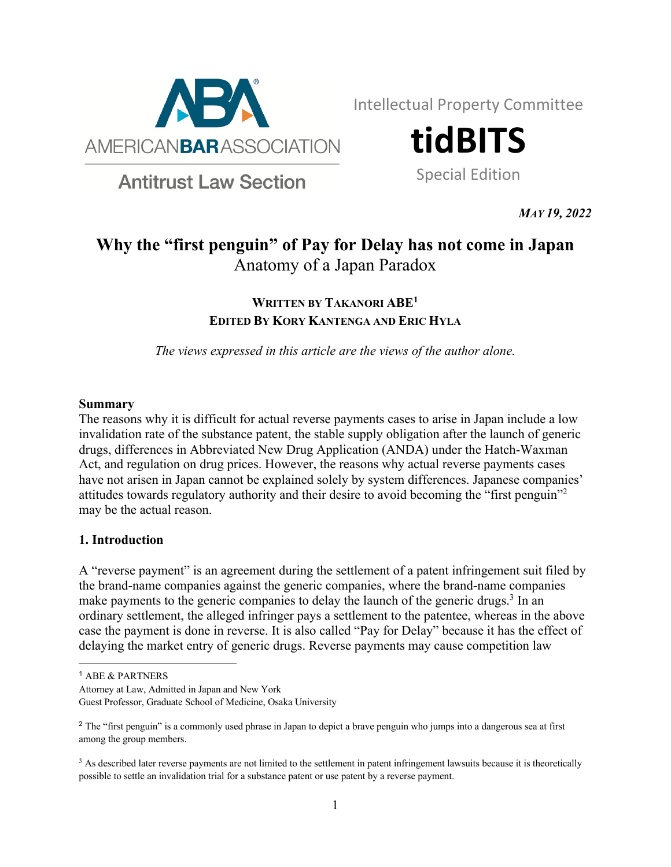

Intellectual Property Committee

**tidBITS**

Special Edition

**Antitrust Law Section** 

*MAY 19, 2022*

# **Why the "first penguin" of Pay for Delay has not come in Japan** Anatomy of a Japan Paradox

# **WRITTEN BY TAKANORI ABE1 EDITED BY KORY KANTENGA AND ERIC HYLA**

*The views expressed in this article are the views of the author alone.*

#### **Summary**

The reasons why it is difficult for actual reverse payments cases to arise in Japan include a low invalidation rate of the substance patent, the stable supply obligation after the launch of generic drugs, differences in Abbreviated New Drug Application (ANDA) under the Hatch-Waxman Act, and regulation on drug prices. However, the reasons why actual reverse payments cases have not arisen in Japan cannot be explained solely by system differences. Japanese companies' attitudes towards regulatory authority and their desire to avoid becoming the "first penguin"2 may be the actual reason.

# **1. Introduction**

A "reverse payment" is an agreement during the settlement of a patent infringement suit filed by the brand-name companies against the generic companies, where the brand-name companies make payments to the generic companies to delay the launch of the generic drugs.<sup>3</sup> In an ordinary settlement, the alleged infringer pays a settlement to the patentee, whereas in the above case the payment is done in reverse. It is also called "Pay for Delay" because it has the effect of delaying the market entry of generic drugs. Reverse payments may cause competition law

Attorney at Law, Admitted in Japan and New York

Guest Professor, Graduate School of Medicine, Osaka University

<sup>1</sup> ABE & PARTNERS

<sup>&</sup>lt;sup>2</sup> The "first penguin" is a commonly used phrase in Japan to depict a brave penguin who jumps into a dangerous sea at first among the group members.

<sup>&</sup>lt;sup>3</sup> As described later reverse payments are not limited to the settlement in patent infringement lawsuits because it is theoretically possible to settle an invalidation trial for a substance patent or use patent by a reverse payment.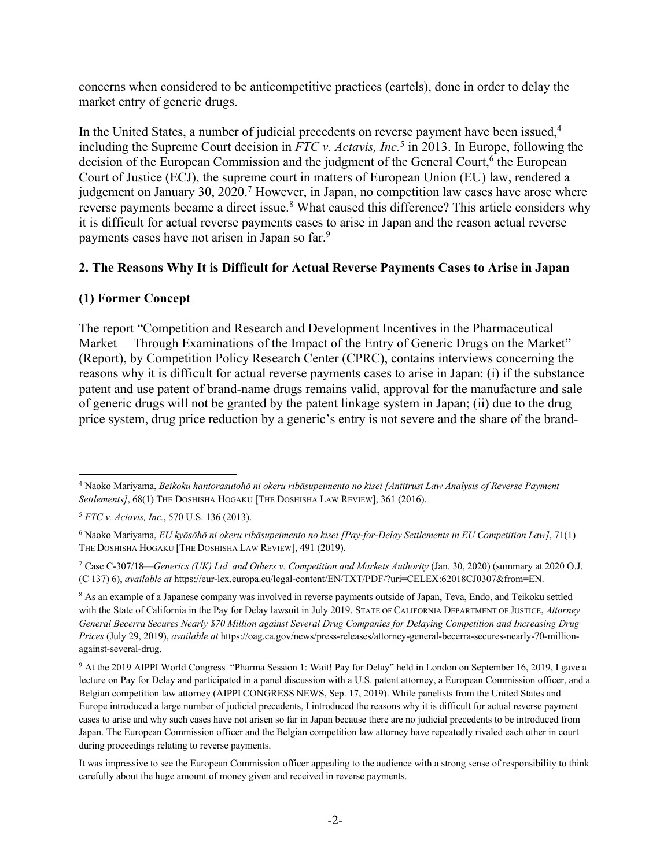concerns when considered to be anticompetitive practices (cartels), done in order to delay the market entry of generic drugs.

In the United States, a number of judicial precedents on reverse payment have been issued,<sup>4</sup> including the Supreme Court decision in *FTC v. Actavis, Inc.*<sup>5</sup> in 2013. In Europe, following the decision of the European Commission and the judgment of the General Court,<sup>6</sup> the European Court of Justice (ECJ), the supreme court in matters of European Union (EU) law, rendered a judgement on January 30, 2020.<sup>7</sup> However, in Japan, no competition law cases have arose where reverse payments became a direct issue.<sup>8</sup> What caused this difference? This article considers why it is difficult for actual reverse payments cases to arise in Japan and the reason actual reverse payments cases have not arisen in Japan so far.<sup>9</sup>

# **2. The Reasons Why It is Difficult for Actual Reverse Payments Cases to Arise in Japan**

# **(1) Former Concept**

The report "Competition and Research and Development Incentives in the Pharmaceutical Market —Through Examinations of the Impact of the Entry of Generic Drugs on the Market" (Report), by Competition Policy Research Center (CPRC), contains interviews concerning the reasons why it is difficult for actual reverse payments cases to arise in Japan: (i) if the substance patent and use patent of brand-name drugs remains valid, approval for the manufacture and sale of generic drugs will not be granted by the patent linkage system in Japan; (ii) due to the drug price system, drug price reduction by a generic's entry is not severe and the share of the brand-

<sup>4</sup> Naoko Mariyama, *Beikoku hantorasutohō ni okeru ribāsupeimento no kisei [Antitrust Law Analysis of Reverse Payment*  Settlements], 68(1) THE DOSHISHA HOGAKU [THE DOSHISHA LAW REVIEW], 361 (2016).

<sup>5</sup> *FTC v. Actavis, Inc.*, 570 U.S. 136 (2013).

<sup>6</sup> Naoko Mariyama, *EU kyōsōhō ni okeru ribāsupeimento no kisei [Pay-for-Delay Settlements in EU Competition Law]*, 71(1) THE DOSHISHA HOGAKU [THE DOSHISHA LAW REVIEW], 491 (2019).

<sup>7</sup> Case C-307/18—*Generics (UK) Ltd. and Others v. Competition and Markets Authority* (Jan. 30, 2020) (summary at 2020 O.J. (C 137) 6), *available at* https://eur-lex.europa.eu/legal-content/EN/TXT/PDF/?uri=CELEX:62018CJ0307&from=EN.

<sup>8</sup> As an example of a Japanese company was involved in reverse payments outside of Japan, Teva, Endo, and Teikoku settled with the State of California in the Pay for Delay lawsuit in July 2019. STATE OF CALIFORNIA DEPARTMENT OF JUSTICE, *Attorney General Becerra Secures Nearly \$70 Million against Several Drug Companies for Delaying Competition and Increasing Drug Prices* (July 29, 2019), *available at* https://oag.ca.gov/news/press-releases/attorney-general-becerra-secures-nearly-70-millionagainst-several-drug.

<sup>9</sup> At the 2019 AIPPI World Congress "Pharma Session 1: Wait! Pay for Delay" held in London on September 16, 2019, I gave a lecture on Pay for Delay and participated in a panel discussion with a U.S. patent attorney, a European Commission officer, and a Belgian competition law attorney (AIPPI CONGRESS NEWS, Sep. 17, 2019). While panelists from the United States and Europe introduced a large number of judicial precedents, I introduced the reasons why it is difficult for actual reverse payment cases to arise and why such cases have not arisen so far in Japan because there are no judicial precedents to be introduced from Japan. The European Commission officer and the Belgian competition law attorney have repeatedly rivaled each other in court during proceedings relating to reverse payments.

It was impressive to see the European Commission officer appealing to the audience with a strong sense of responsibility to think carefully about the huge amount of money given and received in reverse payments.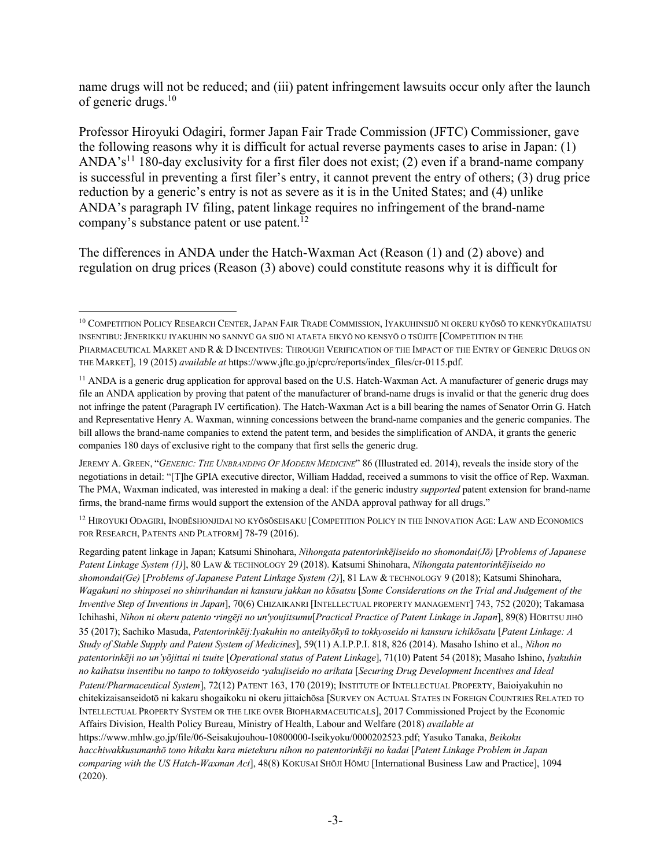name drugs will not be reduced; and (iii) patent infringement lawsuits occur only after the launch of generic drugs. 10

Professor Hiroyuki Odagiri, former Japan Fair Trade Commission (JFTC) Commissioner, gave the following reasons why it is difficult for actual reverse payments cases to arise in Japan: (1) ANDA's<sup>11</sup> 180-day exclusivity for a first filer does not exist; (2) even if a brand-name company is successful in preventing a first filer's entry, it cannot prevent the entry of others; (3) drug price reduction by a generic's entry is not as severe as it is in the United States; and (4) unlike ANDA's paragraph IV filing, patent linkage requires no infringement of the brand-name company's substance patent or use patent.<sup>12</sup>

The differences in ANDA under the Hatch-Waxman Act (Reason (1) and (2) above) and regulation on drug prices (Reason (3) above) could constitute reasons why it is difficult for

<sup>12</sup> HIROYUKI ODAGIRI, INOBĒSHONJIDAI NO KYŌSŌSEISAKU [COMPETITION POLICY IN THE INNOVATION AGE: LAW AND ECONOMICS FOR RESEARCH, PATENTS AND PLATFORM] 78-79 (2016).

Regarding patent linkage in Japan; Katsumi Shinohara, *Nihongata patentorinkējiseido no shomondai(Jō)* [*Problems of Japanese Patent Linkage System (1)*], 80 LAW & TECHNOLOGY 29 (2018). Katsumi Shinohara, *Nihongata patentorinkējiseido no shomondai(Ge)* [*Problems of Japanese Patent Linkage System (2)*], 81 LAW & TECHNOLOGY 9 (2018); Katsumi Shinohara, *Wagakuni no shinposei no shinrihandan ni kansuru jakkan no kōsatsu* [*Some Considerations on the Trial and Judgement of the Inventive Step of Inventions in Japan*], 70(6) CHIZAIKANRI [INTELLECTUAL PROPERTY MANAGEMENT] 743, 752 (2020); Takamasa Ichihashi, *Nihon ni okeru patento*・*ringēji no un'youjitsumu*[*Practical Practice of Patent Linkage in Japan*], 89(8) HŌRITSU JIHŌ 35 (2017); Sachiko Masuda, *Patentorinkēij:Iyakuhin no anteikyōkyū to tokkyoseido ni kansuru ichikōsatu* [*Patent Linkage: A Study of Stable Supply and Patent System of Medicines*], 59(11) A.I.P.P.I. 818, 826 (2014). Masaho Ishino et al., *Nihon no patentorinkēji no un'yōjittai ni tsuite* [*Operational status of Patent Linkage*], 71(10) Patent 54 (2018); Masaho Ishino, *Iyakuhin no kaihatsu insentibu no tanpo to tokkyoseido*・*yakujiseido no arikata* [*Securing Drug Development Incentives and Ideal Patent/Pharmaceutical System*], 72(12) PATENT 163, 170 (2019); INSTITUTE OF INTELLECTUAL PROPERTY, Baioiyakuhin no chitekizaisanseidotō ni kakaru shogaikoku ni okeru jittaichōsa [SURVEY ON ACTUAL STATES IN FOREIGN COUNTRIES RELATED TO INTELLECTUAL PROPERTY SYSTEM OR THE LIKE OVER BIOPHARMACEUTICALS], 2017 Commissioned Project by the Economic Affairs Division, Health Policy Bureau, Ministry of Health, Labour and Welfare (2018) *available at* https://www.mhlw.go.jp/file/06-Seisakujouhou-10800000-Iseikyoku/0000202523.pdf; Yasuko Tanaka, *Beikoku hacchiwakkusumanhō tono hikaku kara mietekuru nihon no patentorinkēji no kadai* [*Patent Linkage Problem in Japan comparing with the US Hatch-Waxman Act*], 48(8) KOKUSAI SHŌJI HŌMU [International Business Law and Practice], 1094

(2020).

<sup>10</sup> COMPETITION POLICY RESEARCH CENTER,JAPAN FAIR TRADE COMMISSION, IYAKUHINSIJŌ NI OKERU KYŌSŌ TO KENKYŪKAIHATSU INSENTIBU:JENERIKKU IYAKUHIN NO SANNYŪ GA SIJŌ NI ATAETA EIKYŌ NO KENSYŌ O TSŪJITE [COMPETITION IN THE PHARMACEUTICAL MARKET AND R & D INCENTIVES: THROUGH VERIFICATION OF THE IMPACT OF THE ENTRY OF GENERIC DRUGS ON THE MARKET], 19 (2015) *available at* https://www.jftc.go.jp/cprc/reports/index\_files/cr-0115.pdf.

<sup>&</sup>lt;sup>11</sup> ANDA is a generic drug application for approval based on the U.S. Hatch-Waxman Act. A manufacturer of generic drugs may file an ANDA application by proving that patent of the manufacturer of brand-name drugs is invalid or that the generic drug does not infringe the patent (Paragraph IV certification). The Hatch-Waxman Act is a bill bearing the names of Senator Orrin G. Hatch and Representative Henry A. Waxman, winning concessions between the brand-name companies and the generic companies. The bill allows the brand-name companies to extend the patent term, and besides the simplification of ANDA, it grants the generic companies 180 days of exclusive right to the company that first sells the generic drug.

JEREMY A. GREEN, "*GENERIC: THE UNBRANDING OF MODERN MEDICINE*" 86 (Illustrated ed. 2014), reveals the inside story of the negotiations in detail: "[T]he GPIA executive director, William Haddad, received a summons to visit the office of Rep. Waxman. The PMA, Waxman indicated, was interested in making a deal: if the generic industry *supported* patent extension for brand-name firms, the brand-name firms would support the extension of the ANDA approval pathway for all drugs."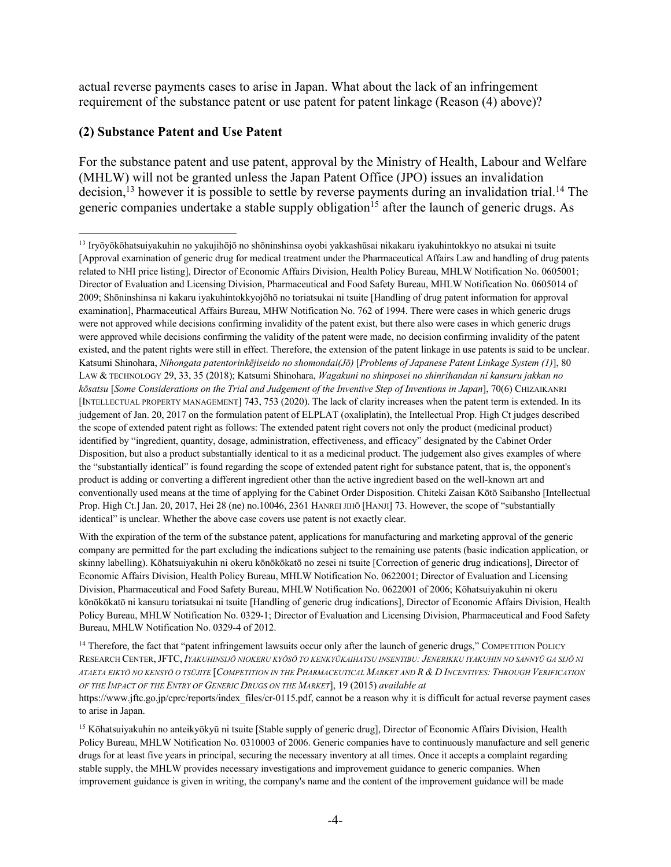actual reverse payments cases to arise in Japan. What about the lack of an infringement requirement of the substance patent or use patent for patent linkage (Reason (4) above)?

#### **(2) Substance Patent and Use Patent**

For the substance patent and use patent, approval by the Ministry of Health, Labour and Welfare (MHLW) will not be granted unless the Japan Patent Office (JPO) issues an invalidation decision,<sup>13</sup> however it is possible to settle by reverse payments during an invalidation trial.<sup>14</sup> The generic companies undertake a stable supply obligation<sup>15</sup> after the launch of generic drugs. As

With the expiration of the term of the substance patent, applications for manufacturing and marketing approval of the generic company are permitted for the part excluding the indications subject to the remaining use patents (basic indication application, or skinny labelling). Kōhatsuiyakuhin ni okeru kōnōkōkatō no zesei ni tsuite [Correction of generic drug indications], Director of Economic Affairs Division, Health Policy Bureau, MHLW Notification No. 0622001; Director of Evaluation and Licensing Division, Pharmaceutical and Food Safety Bureau, MHLW Notification No. 0622001 of 2006; Kōhatsuiyakuhin ni okeru kōnōkōkatō ni kansuru toriatsukai ni tsuite [Handling of generic drug indications], Director of Economic Affairs Division, Health Policy Bureau, MHLW Notification No. 0329-1; Director of Evaluation and Licensing Division, Pharmaceutical and Food Safety Bureau, MHLW Notification No. 0329-4 of 2012.

<sup>14</sup> Therefore, the fact that "patent infringement lawsuits occur only after the launch of generic drugs," COMPETITION POLICY RESEARCH CENTER,JFTC, *IYAKUHINSIJŌ NIOKERU KYŌSŌ TO KENKYŪKAIHATSU INSENTIBU: JENERIKKU IYAKUHIN NO SANNYŪ GA SIJŌ NI ATAETA EIKYŌ NO KENSYŌ O TSŪJITE* [*COMPETITION IN THE PHARMACEUTICAL MARKET AND R & D INCENTIVES: THROUGH VERIFICATION OF THE IMPACT OF THE ENTRY OF GENERIC DRUGS ON THE MARKET*], 19 (2015) *available at*  https://www.jftc.go.jp/cprc/reports/index\_files/cr-0115.pdf, cannot be a reason why it is difficult for actual reverse payment cases to arise in Japan.

<sup>15</sup> Kōhatsuiyakuhin no anteikyōkyū ni tsuite [Stable supply of generic drug], Director of Economic Affairs Division, Health Policy Bureau, MHLW Notification No. 0310003 of 2006. Generic companies have to continuously manufacture and sell generic drugs for at least five years in principal, securing the necessary inventory at all times. Once it accepts a complaint regarding stable supply, the MHLW provides necessary investigations and improvement guidance to generic companies. When improvement guidance is given in writing, the company's name and the content of the improvement guidance will be made

<sup>13</sup> Iryōyōkōhatsuiyakuhin no yakujihōjō no shōninshinsa oyobi yakkashūsai nikakaru iyakuhintokkyo no atsukai ni tsuite [Approval examination of generic drug for medical treatment under the Pharmaceutical Affairs Law and handling of drug patents related to NHI price listing], Director of Economic Affairs Division, Health Policy Bureau, MHLW Notification No. 0605001; Director of Evaluation and Licensing Division, Pharmaceutical and Food Safety Bureau, MHLW Notification No. 0605014 of 2009; Shōninshinsa ni kakaru iyakuhintokkyojōhō no toriatsukai ni tsuite [Handling of drug patent information for approval examination], Pharmaceutical Affairs Bureau, MHW Notification No. 762 of 1994. There were cases in which generic drugs were not approved while decisions confirming invalidity of the patent exist, but there also were cases in which generic drugs were approved while decisions confirming the validity of the patent were made, no decision confirming invalidity of the patent existed, and the patent rights were still in effect. Therefore, the extension of the patent linkage in use patents is said to be unclear. Katsumi Shinohara, *Nihongata patentorinkējiseido no shomondai(Jō)* [*Problems of Japanese Patent Linkage System (1)*], 80 LAW & TECHNOLOGY 29, 33, 35 (2018); Katsumi Shinohara, *Wagakuni no shinposei no shinrihandan ni kansuru jakkan no kōsatsu* [*Some Considerations on the Trial and Judgement of the Inventive Step of Inventions in Japan*], 70(6) CHIZAIKANRI [INTELLECTUAL PROPERTY MANAGEMENT] 743, 753 (2020). The lack of clarity increases when the patent term is extended. In its judgement of Jan. 20, 2017 on the formulation patent of ELPLAT (oxaliplatin), the Intellectual Prop. High Ct judges described the scope of extended patent right as follows: The extended patent right covers not only the product (medicinal product) identified by "ingredient, quantity, dosage, administration, effectiveness, and efficacy" designated by the Cabinet Order Disposition, but also a product substantially identical to it as a medicinal product. The judgement also gives examples of where the "substantially identical" is found regarding the scope of extended patent right for substance patent, that is, the opponent's product is adding or converting a different ingredient other than the active ingredient based on the well-known art and conventionally used means at the time of applying for the Cabinet Order Disposition. Chiteki Zaisan Kōtō Saibansho [Intellectual Prop. High Ct.] Jan. 20, 2017, Hei 28 (ne) no.10046, 2361 HANREI JIHŌ [HANJI] 73. However, the scope of "substantially identical" is unclear. Whether the above case covers use patent is not exactly clear.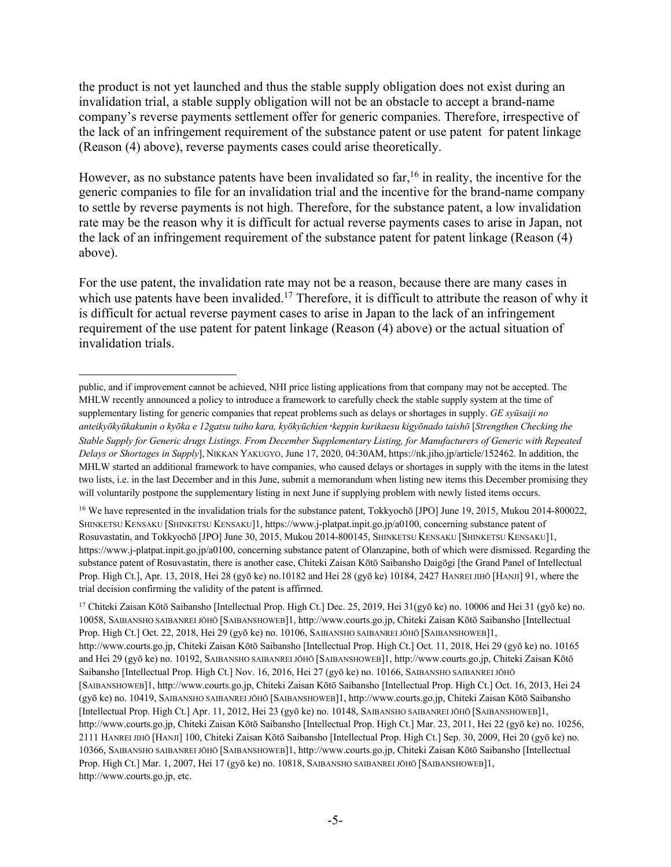the product is not yet launched and thus the stable supply obligation does not exist during an invalidation trial, a stable supply obligation will not be an obstacle to accept a brand-name company's reverse payments settlement offer for generic companies. Therefore, irrespective of the lack of an infringement requirement of the substance patent or use patent for patent linkage (Reason (4) above), reverse payments cases could arise theoretically.

However, as no substance patents have been invalidated so far, <sup>16</sup> in reality, the incentive for the generic companies to file for an invalidation trial and the incentive for the brand-name company to settle by reverse payments is not high. Therefore, for the substance patent, a low invalidation rate may be the reason why it is difficult for actual reverse payments cases to arise in Japan, not the lack of an infringement requirement of the substance patent for patent linkage (Reason (4) above).

For the use patent, the invalidation rate may not be a reason, because there are many cases in which use patents have been invalided.<sup>17</sup> Therefore, it is difficult to attribute the reason of why it is difficult for actual reverse payment cases to arise in Japan to the lack of an infringement requirement of the use patent for patent linkage (Reason (4) above) or the actual situation of invalidation trials.

<sup>16</sup> We have represented in the invalidation trials for the substance patent, Tokkyochō [JPO] June 19, 2015, Mukou 2014-800022, SHINKETSU KENSAKU [SHINKETSU KENSAKU]1, https://www.j-platpat.inpit.go.jp/a0100, concerning substance patent of Rosuvastatin, and Tokkyochō [JPO] June 30, 2015, Mukou 2014-800145, SHINKETSU KENSAKU [SHINKETSU KENSAKU]1, https://www.j-platpat.inpit.go.jp/a0100, concerning substance patent of Olanzapine, both of which were dismissed. Regarding the substance patent of Rosuvastatin, there is another case, Chiteki Zaisan Kōtō Saibansho Daigōgi [the Grand Panel of Intellectual Prop. High Ct.], Apr. 13, 2018, Hei 28 (gyō ke) no.10182 and Hei 28 (gyō ke) 10184, 2427 HANREI JIHŌ [HANJI] 91, where the trial decision confirming the validity of the patent is affirmed.

<sup>17</sup> Chiteki Zaisan Kōtō Saibansho [Intellectual Prop. High Ct.] Dec. 25, 2019, Hei  $31$ (gyō ke) no. 10006 and Hei  $31$  (gyō ke) no. 10058, SAIBANSHO SAIBANREI JŌHŌ [SAIBANSHOWEB]1, http://www.courts.go.jp, Chiteki Zaisan Kōtō Saibansho [Intellectual Prop. High Ct.] Oct. 22, 2018, Hei 29 (gyō ke) no. 10106, SAIBANSHO SAIBANREI JŌHŌ [SAIBANSHOWEB]1, http://www.courts.go.jp, Chiteki Zaisan Kōtō Saibansho [Intellectual Prop. High Ct.] Oct. 11, 2018, Hei 29 (gyō ke) no. 10165 and Hei 29 (gyō ke) no. 10192, SAIBANSHO SAIBANREI JŌHŌ [SAIBANSHOWEB]1, http://www.courts.go.jp, Chiteki Zaisan Kōtō Saibansho [Intellectual Prop. High Ct.] Nov. 16, 2016, Hei 27 (gyō ke) no. 10166, SAIBANSHO SAIBANREI JŌHŌ [SAIBANSHOWEB]1, http://www.courts.go.jp, Chiteki Zaisan Kōtō Saibansho [Intellectual Prop. High Ct.] Oct. 16, 2013, Hei 24 (gyō ke) no. 10419, SAIBANSHO SAIBANREI JŌHŌ [SAIBANSHOWEB]1, http://www.courts.go.jp, Chiteki Zaisan Kōtō Saibansho [Intellectual Prop. High Ct.] Apr. 11, 2012, Hei 23 (gyō ke) no. 10148, SAIBANSHO SAIBANREI JŌHŌ [SAIBANSHOWEB]1, http://www.courts.go.jp, Chiteki Zaisan Kōtō Saibansho [Intellectual Prop. High Ct.] Mar. 23, 2011, Hei 22 (gyō ke) no. 10256, 2111 HANREI JIHŌ [HANJI] 100, Chiteki Zaisan Kōtō Saibansho [Intellectual Prop. High Ct.] Sep. 30, 2009, Hei 20 (gyō ke) no. 10366, SAIBANSHO SAIBANREI JŌHŌ [SAIBANSHOWEB]1, http://www.courts.go.jp, Chiteki Zaisan Kōtō Saibansho [Intellectual Prop. High Ct.] Mar. 1, 2007, Hei 17 (gyō ke) no. 10818, SAIBANSHO SAIBANREI JŌHŌ [SAIBANSHOWEB]1, http://www.courts.go.jp, etc.

public, and if improvement cannot be achieved, NHI price listing applications from that company may not be accepted. The MHLW recently announced a policy to introduce a framework to carefully check the stable supply system at the time of supplementary listing for generic companies that repeat problems such as delays or shortages in supply. *GE syūsaiji no anteikyōkyūkakunin o kyōka e 12gatsu tuiho kara, kyōkyūchien*・*keppin kurikaesu kigyōnado taishō* [*Strengthen Checking the Stable Supply for Generic drugs Listings. From December Supplementary Listing, for Manufacturers of Generic with Repeated Delays or Shortages in Supply*], NIKKAN YAKUGYO, June 17, 2020, 04:30AM, https://nk.jiho.jp/article/152462. In addition, the MHLW started an additional framework to have companies, who caused delays or shortages in supply with the items in the latest two lists, i.e. in the last December and in this June, submit a memorandum when listing new items this December promising they will voluntarily postpone the supplementary listing in next June if supplying problem with newly listed items occurs.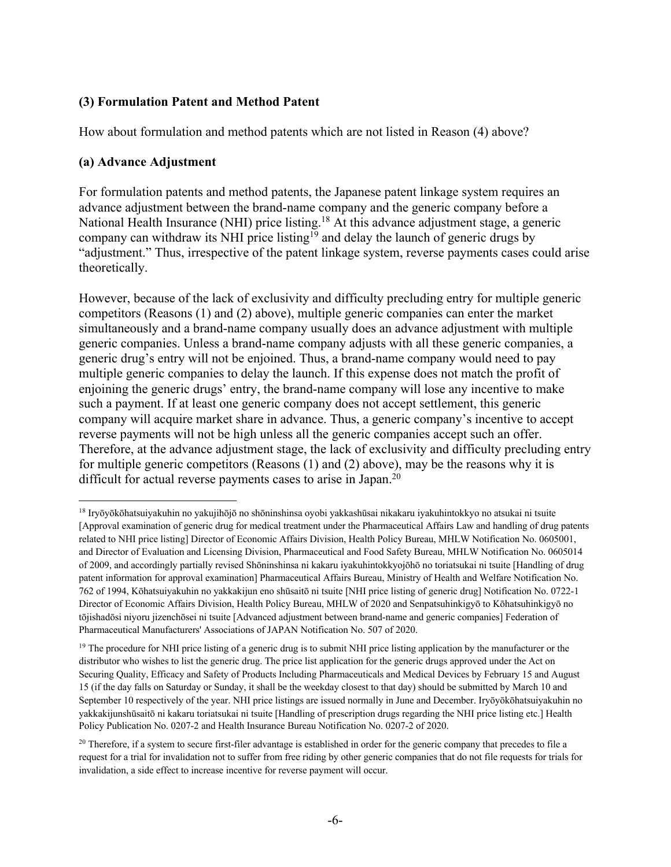# **(3) Formulation Patent and Method Patent**

How about formulation and method patents which are not listed in Reason (4) above?

#### **(a) Advance Adjustment**

For formulation patents and method patents, the Japanese patent linkage system requires an advance adjustment between the brand-name company and the generic company before a National Health Insurance (NHI) price listing.<sup>18</sup> At this advance adjustment stage, a generic company can withdraw its NHI price listing<sup>19</sup> and delay the launch of generic drugs by "adjustment." Thus, irrespective of the patent linkage system, reverse payments cases could arise theoretically.

However, because of the lack of exclusivity and difficulty precluding entry for multiple generic competitors (Reasons (1) and (2) above), multiple generic companies can enter the market simultaneously and a brand-name company usually does an advance adjustment with multiple generic companies. Unless a brand-name company adjusts with all these generic companies, a generic drug's entry will not be enjoined. Thus, a brand-name company would need to pay multiple generic companies to delay the launch. If this expense does not match the profit of enjoining the generic drugs' entry, the brand-name company will lose any incentive to make such a payment. If at least one generic company does not accept settlement, this generic company will acquire market share in advance. Thus, a generic company's incentive to accept reverse payments will not be high unless all the generic companies accept such an offer. Therefore, at the advance adjustment stage, the lack of exclusivity and difficulty precluding entry for multiple generic competitors (Reasons (1) and (2) above), may be the reasons why it is difficult for actual reverse payments cases to arise in Japan.<sup>20</sup>

<sup>18</sup> Iryōyōkōhatsuiyakuhin no yakujihōjō no shōninshinsa oyobi yakkashūsai nikakaru iyakuhintokkyo no atsukai ni tsuite [Approval examination of generic drug for medical treatment under the Pharmaceutical Affairs Law and handling of drug patents related to NHI price listing] Director of Economic Affairs Division, Health Policy Bureau, MHLW Notification No. 0605001, and Director of Evaluation and Licensing Division, Pharmaceutical and Food Safety Bureau, MHLW Notification No. 0605014 of 2009, and accordingly partially revised Shōninshinsa ni kakaru iyakuhintokkyojōhō no toriatsukai ni tsuite [Handling of drug patent information for approval examination] Pharmaceutical Affairs Bureau, Ministry of Health and Welfare Notification No. 762 of 1994, Kōhatsuiyakuhin no yakkakijun eno shūsaitō ni tsuite [NHI price listing of generic drug] Notification No. 0722-1 Director of Economic Affairs Division, Health Policy Bureau, MHLW of 2020 and Senpatsuhinkigyō to Kōhatsuhinkigyō no tōjishadōsi niyoru jizenchōsei ni tsuite [Advanced adjustment between brand-name and generic companies] Federation of Pharmaceutical Manufacturers' Associations of JAPAN Notification No. 507 of 2020.

<sup>&</sup>lt;sup>19</sup> The procedure for NHI price listing of a generic drug is to submit NHI price listing application by the manufacturer or the distributor who wishes to list the generic drug. The price list application for the generic drugs approved under the Act on Securing Quality, Efficacy and Safety of Products Including Pharmaceuticals and Medical Devices by February 15 and August 15 (if the day falls on Saturday or Sunday, it shall be the weekday closest to that day) should be submitted by March 10 and September 10 respectively of the year. NHI price listings are issued normally in June and December. Iryōyōkōhatsuiyakuhin no yakkakijunshūsaitō ni kakaru toriatsukai ni tsuite [Handling of prescription drugs regarding the NHI price listing etc.] Health Policy Publication No. 0207-2 and Health Insurance Bureau Notification No. 0207-2 of 2020.

<sup>&</sup>lt;sup>20</sup> Therefore, if a system to secure first-filer advantage is established in order for the generic company that precedes to file a request for a trial for invalidation not to suffer from free riding by other generic companies that do not file requests for trials for invalidation, a side effect to increase incentive for reverse payment will occur.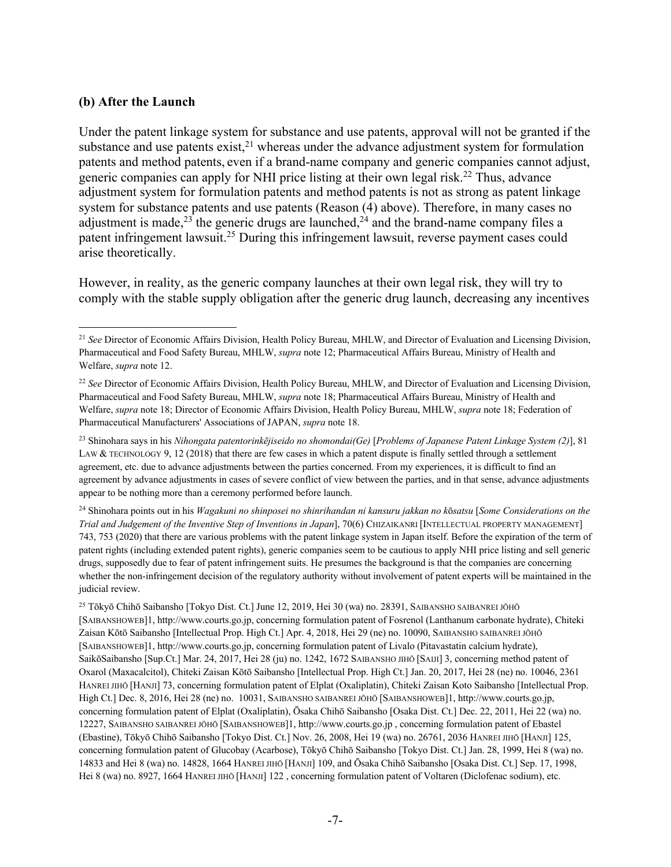#### **(b) After the Launch**

Under the patent linkage system for substance and use patents, approval will not be granted if the substance and use patents  $exist$ <sup>21</sup>, whereas under the advance adjustment system for formulation patents and method patents, even if a brand-name company and generic companies cannot adjust, generic companies can apply for NHI price listing at their own legal risk.<sup>22</sup> Thus, advance adjustment system for formulation patents and method patents is not as strong as patent linkage system for substance patents and use patents (Reason (4) above). Therefore, in many cases no adjustment is made,<sup>23</sup> the generic drugs are launched,<sup>24</sup> and the brand-name company files a patent infringement lawsuit.<sup>25</sup> During this infringement lawsuit, reverse payment cases could arise theoretically.

However, in reality, as the generic company launches at their own legal risk, they will try to comply with the stable supply obligation after the generic drug launch, decreasing any incentives

<sup>24</sup> Shinohara points out in his *Wagakuni no shinposei no shinrihandan ni kansuru jakkan no k*ō*satsu* [*Some Considerations on the Trial and Judgement of the Inventive Step of Inventions in Japan*], 70(6) CHIZAIKANRI [INTELLECTUAL PROPERTY MANAGEMENT] 743, 753 (2020) that there are various problems with the patent linkage system in Japan itself. Before the expiration of the term of patent rights (including extended patent rights), generic companies seem to be cautious to apply NHI price listing and sell generic drugs, supposedly due to fear of patent infringement suits. He presumes the background is that the companies are concerning whether the non-infringement decision of the regulatory authority without involvement of patent experts will be maintained in the judicial review.

<sup>25</sup> Tōkyō Chihō Saibansho [Tokyo Dist. Ct.] June 12, 2019, Hei 30 (wa) no. 28391, SAIBANSHO SAIBANREI JŌHŌ [SAIBANSHOWEB]1, http://www.courts.go.jp, concerning formulation patent of Fosrenol (Lanthanum carbonate hydrate), Chiteki Zaisan Kōtō Saibansho [Intellectual Prop. High Ct.] Apr. 4, 2018, Hei 29 (ne) no. 10090, SAIBANSHO SAIBANREI JŌHŌ [SAIBANSHOWEB]1, http://www.courts.go.jp, concerning formulation patent of Livalo (Pitavastatin calcium hydrate), SaikōSaibansho [Sup.Ct.] Mar. 24, 2017, Hei 28 (ju) no. 1242, 1672 SAIBANSHO JIHŌ [SAIJI] 3, concerning method patent of Oxarol (Maxacalcitol), Chiteki Zaisan Kōtō Saibansho [Intellectual Prop. High Ct.] Jan. 20, 2017, Hei 28 (ne) no. 10046, 2361 HANREI JIHŌ [HANJI] 73, concerning formulation patent of Elplat (Oxaliplatin), Chiteki Zaisan Koto Saibansho [Intellectual Prop. High Ct.] Dec. 8, 2016, Hei 28 (ne) no. 10031, SAIBANSHO SAIBANREI JŌHŌ [SAIBANSHOWEB]1, http://www.courts.go.jp, concerning formulation patent of Elplat (Oxaliplatin), Ōsaka Chihō Saibansho [Osaka Dist. Ct.] Dec. 22, 2011, Hei 22 (wa) no. 12227, SAIBANSHO SAIBANREI JŌHŌ [SAIBANSHOWEB]1, http://www.courts.go.jp , concerning formulation patent of Ebastel (Ebastine), Tōkyō Chihō Saibansho [Tokyo Dist. Ct.] Nov. 26, 2008, Hei 19 (wa) no. 26761, 2036 HANREI JIHŌ [HANJI] 125, concerning formulation patent of Glucobay (Acarbose), Tōkyō Chihō Saibansho [Tokyo Dist. Ct.] Jan. 28, 1999, Hei 8 (wa) no. 14833 and Hei 8 (wa) no. 14828, 1664 HANREI JIHŌ [HANJI] 109, and Ōsaka Chihō Saibansho [Osaka Dist. Ct.] Sep. 17, 1998, Hei 8 (wa) no. 8927, 1664 HANREI JIHŌ [HANJI] 122, concerning formulation patent of Voltaren (Diclofenac sodium), etc.

<sup>21</sup> *See* Director of Economic Affairs Division, Health Policy Bureau, MHLW, and Director of Evaluation and Licensing Division, Pharmaceutical and Food Safety Bureau, MHLW, *supra* note 12; Pharmaceutical Affairs Bureau, Ministry of Health and Welfare, *supra* note 12.

<sup>22</sup> *See* Director of Economic Affairs Division, Health Policy Bureau, MHLW, and Director of Evaluation and Licensing Division, Pharmaceutical and Food Safety Bureau, MHLW, *supra* note 18; Pharmaceutical Affairs Bureau, Ministry of Health and Welfare, *supra* note 18; Director of Economic Affairs Division, Health Policy Bureau, MHLW, *supra* note 18; Federation of Pharmaceutical Manufacturers' Associations of JAPAN, *supra* note 18.

<sup>23</sup> Shinohara says in his *Nihongata patentorinkējiseido no shomondai(Ge)* [*Problems of Japanese Patent Linkage System (2)*], 81 LAW & TECHNOLOGY 9, 12 (2018) that there are few cases in which a patent dispute is finally settled through a settlement agreement, etc. due to advance adjustments between the parties concerned. From my experiences, it is difficult to find an agreement by advance adjustments in cases of severe conflict of view between the parties, and in that sense, advance adjustments appear to be nothing more than a ceremony performed before launch.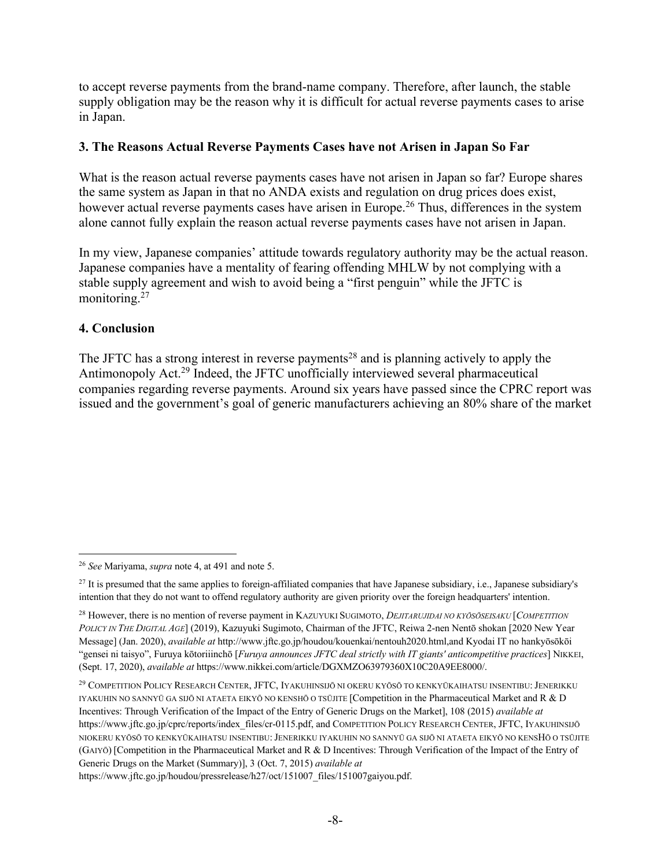to accept reverse payments from the brand-name company. Therefore, after launch, the stable supply obligation may be the reason why it is difficult for actual reverse payments cases to arise in Japan.

# **3. The Reasons Actual Reverse Payments Cases have not Arisen in Japan So Far**

What is the reason actual reverse payments cases have not arisen in Japan so far? Europe shares the same system as Japan in that no ANDA exists and regulation on drug prices does exist, however actual reverse payments cases have arisen in Europe.<sup>26</sup> Thus, differences in the system alone cannot fully explain the reason actual reverse payments cases have not arisen in Japan.

In my view, Japanese companies' attitude towards regulatory authority may be the actual reason. Japanese companies have a mentality of fearing offending MHLW by not complying with a stable supply agreement and wish to avoid being a "first penguin" while the JFTC is monitoring.<sup>27</sup>

# **4. Conclusion**

The JFTC has a strong interest in reverse payments<sup>28</sup> and is planning actively to apply the Antimonopoly Act.<sup>29</sup> Indeed, the JFTC unofficially interviewed several pharmaceutical companies regarding reverse payments. Around six years have passed since the CPRC report was issued and the government's goal of generic manufacturers achieving an 80% share of the market

https://www.jftc.go.jp/houdou/pressrelease/h27/oct/151007\_files/151007gaiyou.pdf.

<sup>26</sup> *See* Mariyama, *supra* note 4, at 491 and note 5.

<sup>&</sup>lt;sup>27</sup> It is presumed that the same applies to foreign-affiliated companies that have Japanese subsidiary, i.e., Japanese subsidiary's intention that they do not want to offend regulatory authority are given priority over the foreign headquarters' intention.

<sup>28</sup> However, there is no mention of reverse payment in KAZUYUKI SUGIMOTO, *DEJITARUJIDAI NO KYŌSŌSEISAKU* [*COMPETITION POLICY IN THE DIGITAL AGE*] (2019), Kazuyuki Sugimoto, Chairman of the JFTC, Reiwa 2-nen Nentō shokan [2020 New Year Message] (Jan. 2020), *available at* http://www.jftc.go.jp/houdou/kouenkai/nentouh2020.html,and Kyodai IT no hankyōsōkōi "gensei ni taisyo", Furuya kōtoriiinchō [*Furuya announces JFTC deal strictly with IT giants' anticompetitive practices*] NIKKEI, (Sept. 17, 2020), *available at* https://www.nikkei.com/article/DGXMZO63979360X10C20A9EE8000/.

<sup>29</sup> COMPETITION POLICY RESEARCH CENTER, JFTC, IYAKUHINSIJŌ NI OKERU KYŌSŌ TO KENKYŪKAIHATSU INSENTIBU:JENERIKKU IYAKUHIN NO SANNYŪ GA SIJŌ NI ATAETA EIKYŌ NO KENSHŌ O TSŪJITE [Competition in the Pharmaceutical Market and R & D Incentives: Through Verification of the Impact of the Entry of Generic Drugs on the Market], 108 (2015) *available at* https://www.jftc.go.jp/cprc/reports/index\_files/cr-0115.pdf, and COMPETITION POLICY RESEARCH CENTER, JFTC, IYAKUHINSIJŌ NIOKERU KYŌSŌ TO KENKYŪKAIHATSU INSENTIBU:JENERIKKU IYAKUHIN NO SANNYŪ GA SIJŌ NI ATAETA EIKYŌ NO KENSHŌ O TSŪJITE (GAIYŌ) [Competition in the Pharmaceutical Market and R & D Incentives: Through Verification of the Impact of the Entry of Generic Drugs on the Market (Summary)], 3 (Oct. 7, 2015) *available at*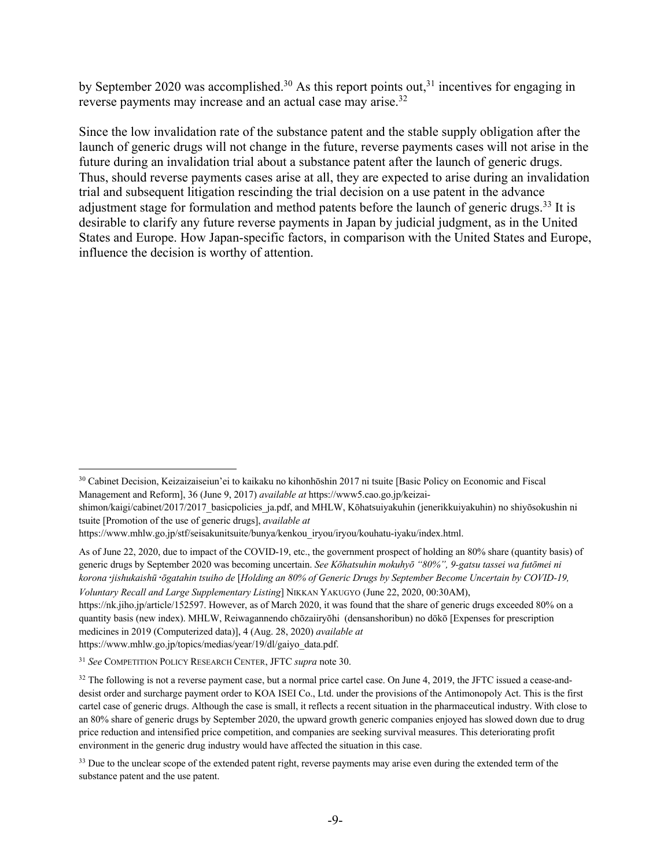by September 2020 was accomplished.<sup>30</sup> As this report points out,<sup>31</sup> incentives for engaging in reverse payments may increase and an actual case may arise.<sup>32</sup>

Since the low invalidation rate of the substance patent and the stable supply obligation after the launch of generic drugs will not change in the future, reverse payments cases will not arise in the future during an invalidation trial about a substance patent after the launch of generic drugs. Thus, should reverse payments cases arise at all, they are expected to arise during an invalidation trial and subsequent litigation rescinding the trial decision on a use patent in the advance adjustment stage for formulation and method patents before the launch of generic drugs.<sup>33</sup> It is desirable to clarify any future reverse payments in Japan by judicial judgment, as in the United States and Europe. How Japan-specific factors, in comparison with the United States and Europe, influence the decision is worthy of attention.

https://www.mhlw.go.jp/stf/seisakunitsuite/bunya/kenkou\_iryou/iryou/kouhatu-iyaku/index.html.

https://nk.jiho.jp/article/152597. However, as of March 2020, it was found that the share of generic drugs exceeded 80% on a quantity basis (new index). MHLW, Reiwagannendo chōzaiiryōhi (densanshoribun) no dōkō [Expenses for prescription medicines in 2019 (Computerized data)], 4 (Aug. 28, 2020) *available at* https://www.mhlw.go.jp/topics/medias/year/19/dl/gaiyo\_data.pdf.

<sup>30</sup> Cabinet Decision, Keizaizaiseiun'ei to kaikaku no kihonhōshin 2017 ni tsuite [Basic Policy on Economic and Fiscal Management and Reform], 36 (June 9, 2017) *available at* https://www5.cao.go.jp/keizai-

shimon/kaigi/cabinet/2017/2017\_basicpolicies\_ja.pdf, and MHLW, Kōhatsuiyakuhin (jenerikkuiyakuhin) no shiyōsokushin ni tsuite [Promotion of the use of generic drugs], *available at*

As of June 22, 2020, due to impact of the COVID-19, etc., the government prospect of holding an 80% share (quantity basis) of generic drugs by September 2020 was becoming uncertain. *See Kōhatsuhin mokuhyō "80%", 9-gatsu tassei wa futōmei ni korona*・*jishukaishū*・*ōgatahin tsuiho de* [*Holding an 80% of Generic Drugs by September Become Uncertain by COVID-19, Voluntary Recall and Large Supplementary Listing*] NIKKAN YAKUGYO (June 22, 2020, 00:30AM),

<sup>31</sup> *See* COMPETITION POLICY RESEARCH CENTER, JFTC *supra* note 30.

<sup>&</sup>lt;sup>32</sup> The following is not a reverse payment case, but a normal price cartel case. On June 4, 2019, the JFTC issued a cease-anddesist order and surcharge payment order to KOA ISEI Co., Ltd. under the provisions of the Antimonopoly Act. This is the first cartel case of generic drugs. Although the case is small, it reflects a recent situation in the pharmaceutical industry. With close to an 80% share of generic drugs by September 2020, the upward growth generic companies enjoyed has slowed down due to drug price reduction and intensified price competition, and companies are seeking survival measures. This deteriorating profit environment in the generic drug industry would have affected the situation in this case.

<sup>&</sup>lt;sup>33</sup> Due to the unclear scope of the extended patent right, reverse payments may arise even during the extended term of the substance patent and the use patent.